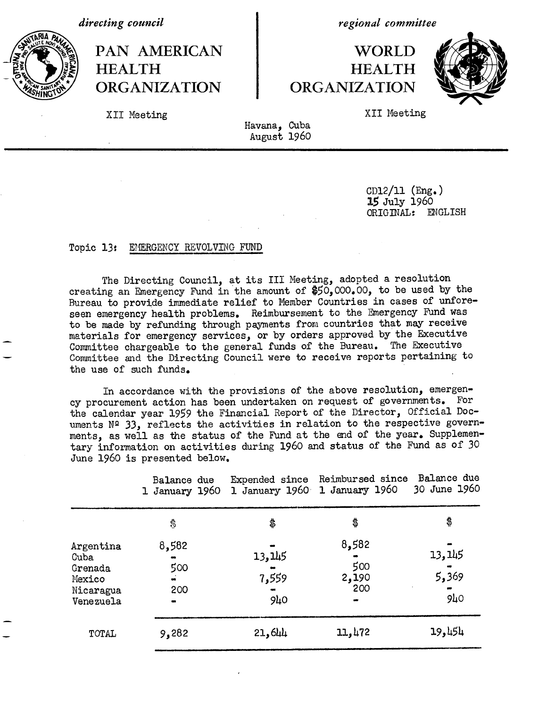*directing council*



*regional committee*



XII Meeting XII Meeting

Havana, Cuba August 1960

> CD12/11 (Eng.) 15 July 1960 ORIGINAL: ENGLISH

## Topic 13: EMERGENCY REVOLVING FUND

The Directing Council, at its III Meeting, adopted a resolution creating an Emergency Fund in the amount of \$50,000.00, to be used by the Bureau to provide immediate relief to Member Countries in cases of unforeseen emergency health problems. Reimbursement to the Emergency Fund was to be made by refunding through payments from countries that may receive materials for emergency services, or by orders approved by the Executive Committee chargeable to the general funds of the Bureau. The Executive Committee chargeable to the general funds of the Bureau. Committee and the Directing Council were to receive reports pertaining to the use of such funds.

In accordance with the provisions of the above resolution, emergency procurement action has been undertaken on request of governments. For the calendar year 1959 the Financial Report of the Director, Official Documents Nº 33, reflects the activities in relation to the respective governments, as well as the status of the Fund at the end of the year. Supplementary information on activities during 1960 and status of the Fund as of 30 June 1960 is presented below.

|                                                                  | Balance due<br>1 January 1960 | Expended since                     | Reimbursed since<br>1 January 1960 1 January 1960 | Balance due<br>30 June 1960         |
|------------------------------------------------------------------|-------------------------------|------------------------------------|---------------------------------------------------|-------------------------------------|
|                                                                  | \$                            | \$                                 | \$                                                | \$                                  |
| Argentina<br>Cuba<br>Grenada<br>Mexico<br>Nicaragua<br>Venezuela | 8,582<br>500<br>200           | 13,145<br>7,559<br>9 <sub>40</sub> | 8,582<br>500<br>2,190<br>200<br>$\bullet$         | 13, 145<br>5,369<br>9 <sub>40</sub> |
| TOTAL                                                            | 9,282                         | 21,644                             | 11,472                                            | 454 و19                             |